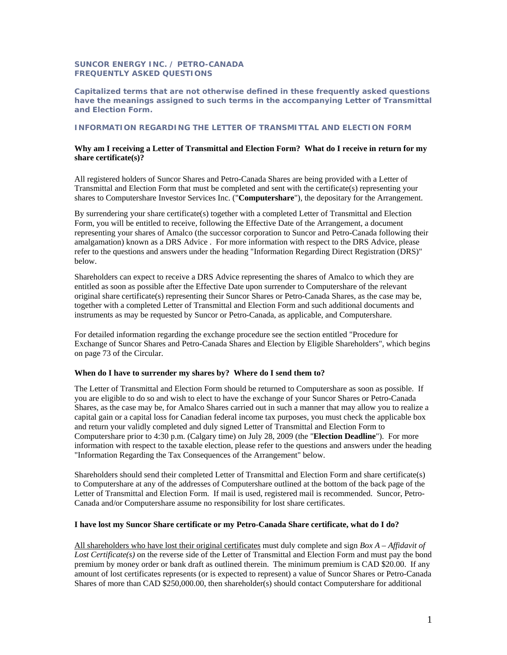## **SUNCOR ENERGY INC. / PETRO-CANADA FREQUENTLY ASKED QUESTIONS**

**Capitalized terms that are not otherwise defined in these frequently asked questions have the meanings assigned to such terms in the accompanying Letter of Transmittal and Election Form.** 

# **INFORMATION REGARDING THE LETTER OF TRANSMITTAL AND ELECTION FORM**

#### **Why am I receiving a Letter of Transmittal and Election Form? What do I receive in return for my share certificate(s)?**

 All registered holders of Suncor Shares and Petro-Canada Shares are being provided with a Letter of Transmittal and Election Form that must be completed and sent with the certificate(s) representing your shares to Computershare Investor Services Inc. ("**Computershare**"), the depositary for the Arrangement.

By surrendering your share certificate(s) together with a completed Letter of Transmittal and Election Form, you will be entitled to receive, following the Effective Date of the Arrangement, a document representing your shares of Amalco (the successor corporation to Suncor and Petro-Canada following their amalgamation) known as a DRS Advice . For more information with respect to the DRS Advice, please refer to the questions and answers under the heading "Information Regarding Direct Registration (DRS)" below.

Shareholders can expect to receive a DRS Advice representing the shares of Amalco to which they are entitled as soon as possible after the Effective Date upon surrender to Computershare of the relevant original share certificate(s) representing their Suncor Shares or Petro-Canada Shares, as the case may be, together with a completed Letter of Transmittal and Election Form and such additional documents and instruments as may be requested by Suncor or Petro-Canada, as applicable, and Computershare.

For detailed information regarding the exchange procedure see the section entitled "Procedure for Exchange of Suncor Shares and Petro-Canada Shares and Election by Eligible Shareholders", which begins on page 73 of the Circular.

#### **When do I have to surrender my shares by? Where do I send them to?**

 The Letter of Transmittal and Election Form should be returned to Computershare as soon as possible. If you are eligible to do so and wish to elect to have the exchange of your Suncor Shares or Petro-Canada and return your validly completed and duly signed Letter of Transmittal and Election Form to Computershare prior to 4:30 p.m. (Calgary time) on July 28, 2009 (the "**Election Deadline**"). For more Shares, as the case may be, for Amalco Shares carried out in such a manner that may allow you to realize a capital gain or a capital loss for Canadian federal income tax purposes, you must check the applicable box information with respect to the taxable election, please refer to the questions and answers under the heading "Information Regarding the Tax Consequences of the Arrangement" below.

Shareholders should send their completed Letter of Transmittal and Election Form and share certificate(s) to Computershare at any of the addresses of Computershare outlined at the bottom of the back page of the Letter of Transmittal and Election Form. If mail is used, registered mail is recommended. Suncor, Petro-Canada and/or Computershare assume no responsibility for lost share certificates.

#### **I have lost my Suncor Share certificate or my Petro-Canada Share certificate, what do I do?**

 premium by money order or bank draft as outlined therein. The minimum premium is CAD \$20.00. If any amount of lost certificates represents (or is expected to represent) a value of Suncor Shares or Petro-Canada All shareholders who have lost their original certificates must duly complete and sign *Box A – Affidavit of Lost Certificate(s)* on the reverse side of the Letter of Transmittal and Election Form and must pay the bond Shares of more than CAD [\\$250,000.00](https://250,000.00), then shareholder(s) should contact Computershare for additional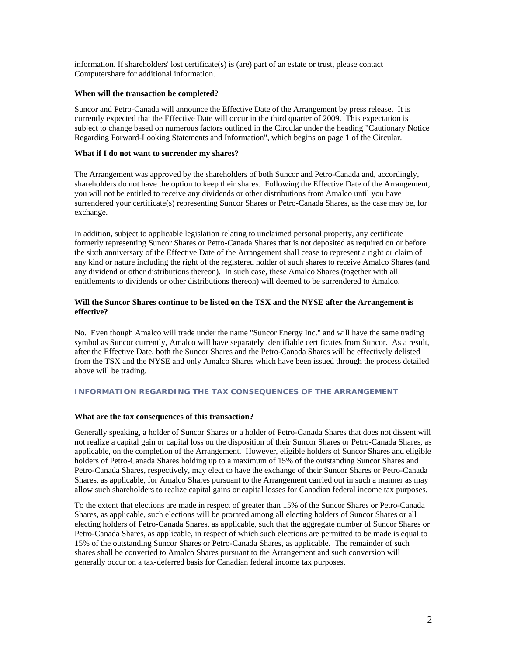information. If shareholders' lost certificate(s) is (are) part of an estate or trust, please contact Computershare for additional information.

# **When will the transaction be completed?**

 currently expected that the Effective Date will occur in the third quarter of 2009. This expectation is subject to change based on numerous factors outlined in the Circular under the heading "Cautionary Notice Suncor and Petro-Canada will announce the Effective Date of the Arrangement by press release. It is Regarding Forward-Looking Statements and Information", which begins on page 1 of the Circular.

### **What if I do not want to surrender my shares?**

 you will not be entitled to receive any dividends or other distributions from Amalco until you have The Arrangement was approved by the shareholders of both Suncor and Petro-Canada and, accordingly, shareholders do not have the option to keep their shares. Following the Effective Date of the Arrangement, surrendered your certificate(s) representing Suncor Shares or Petro-Canada Shares, as the case may be, for exchange.

 formerly representing Suncor Shares or Petro-Canada Shares that is not deposited as required on or before any dividend or other distributions thereon). In such case, these Amalco Shares (together with all entitlements to dividends or other distributions thereon) will deemed to be surrendered to Amalco. In addition, subject to applicable legislation relating to unclaimed personal property, any certificate the sixth anniversary of the Effective Date of the Arrangement shall cease to represent a right or claim of any kind or nature including the right of the registered holder of such shares to receive Amalco Shares (and

# **Will the Suncor Shares continue to be listed on the TSX and the NYSE after the Arrangement is effective?**

No. Even though Amalco will trade under the name "Suncor Energy Inc." and will have the same trading symbol as Suncor currently, Amalco will have separately identifiable certificates from Suncor. As a result, after the Effective Date, both the Suncor Shares and the Petro-Canada Shares will be effectively delisted from the TSX and the NYSE and only Amalco Shares which have been issued through the process detailed above will be trading.

# **INFORMATION REGARDING THE TAX CONSEQUENCES OF THE ARRANGEMENT**

#### **What are the tax consequences of this transaction?**

Generally speaking, a holder of Suncor Shares or a holder of Petro-Canada Shares that does not dissent will not realize a capital gain or capital loss on the disposition of their Suncor Shares or Petro-Canada Shares, as applicable, on the completion of the Arrangement. However, eligible holders of Suncor Shares and eligible holders of Petro-Canada Shares holding up to a maximum of 15% of the outstanding Suncor Shares and Petro-Canada Shares, respectively, may elect to have the exchange of their Suncor Shares or Petro-Canada Shares, as applicable, for Amalco Shares pursuant to the Arrangement carried out in such a manner as may allow such shareholders to realize capital gains or capital losses for Canadian federal income tax purposes.

 Shares, as applicable, such elections will be prorated among all electing holders of Suncor Shares or all shares shall be converted to Amalco Shares pursuant to the Arrangement and such conversion will To the extent that elections are made in respect of greater than 15% of the Suncor Shares or Petro-Canada electing holders of Petro-Canada Shares, as applicable, such that the aggregate number of Suncor Shares or Petro-Canada Shares, as applicable, in respect of which such elections are permitted to be made is equal to 15% of the outstanding Suncor Shares or Petro-Canada Shares, as applicable. The remainder of such generally occur on a tax-deferred basis for Canadian federal income tax purposes.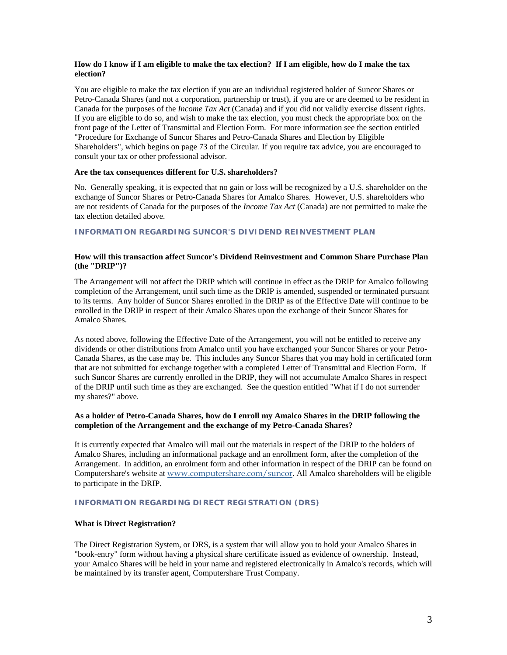# **How do I know if I am eligible to make the tax election? If I am eligible, how do I make the tax election?**

 You are eligible to make the tax election if you are an individual registered holder of Suncor Shares or If you are eligible to do so, and wish to make the tax election, you must check the appropriate box on the front page of the Letter of Transmittal and Election Form. For more information see the section entitled Shareholders", which begins on page 73 of the Circular. If you require tax advice, you are encouraged to Petro-Canada Shares (and not a corporation, partnership or trust), if you are or are deemed to be resident in Canada for the purposes of the *Income Tax Act* (Canada) and if you did not validly exercise dissent rights. "Procedure for Exchange of Suncor Shares and Petro-Canada Shares and Election by Eligible consult your tax or other professional advisor.

#### **Are the tax consequences different for U.S. shareholders?**

 No. Generally speaking, it is expected that no gain or loss will be recognized by a U.S. shareholder on the exchange of Suncor Shares or Petro-Canada Shares for Amalco Shares. However, U.S. shareholders who are not residents of Canada for the purposes of the *Income Tax Act* (Canada) are not permitted to make the tax election detailed above.

## **INFORMATION REGARDING SUNCOR'S DIVIDEND REINVESTMENT PLAN**

# **How will this transaction affect Suncor's Dividend Reinvestment and Common Share Purchase Plan (the "DRIP")?**

 to its terms. Any holder of Suncor Shares enrolled in the DRIP as of the Effective Date will continue to be enrolled in the DRIP in respect of their Amalco Shares upon the exchange of their Suncor Shares for The Arrangement will not affect the DRIP which will continue in effect as the DRIP for Amalco following completion of the Arrangement, until such time as the DRIP is amended, suspended or terminated pursuant Amalco Shares.

As noted above, following the Effective Date of the Arrangement, you will not be entitled to receive any dividends or other distributions from Amalco until you have exchanged your Suncor Shares or your Petro-Canada Shares, as the case may be. This includes any Suncor Shares that you may hold in certificated form that are not submitted for exchange together with a completed Letter of Transmittal and Election Form. If such Suncor Shares are currently enrolled in the DRIP, they will not accumulate Amalco Shares in respect of the DRIP until such time as they are exchanged. See the question entitled "What if I do not surrender my shares?" above.

### **As a holder of Petro-Canada Shares, how do I enroll my Amalco Shares in the DRIP following the completion of the Arrangement and the exchange of my Petro-Canada Shares?**

 Arrangement. In addition, an enrolment form and other information in respect of the DRIP can be found on It is currently expected that Amalco will mail out the materials in respect of the DRIP to the holders of Amalco Shares, including an informational package and an enrollment form, after the completion of the Computershare's website at <www.computershare.com/suncor>. All Amalco shareholders will be eligible to participate in the DRIP.

### **INFORMATION REGARDING DIRECT REGISTRATION (DRS)**

#### **What is Direct Registration?**

The Direct Registration System, or DRS, is a system that will allow you to hold your Amalco Shares in "book-entry" form without having a physical share certificate issued as evidence of ownership. Instead, your Amalco Shares will be held in your name and registered electronically in Amalco's records, which will be maintained by its transfer agent, Computershare Trust Company.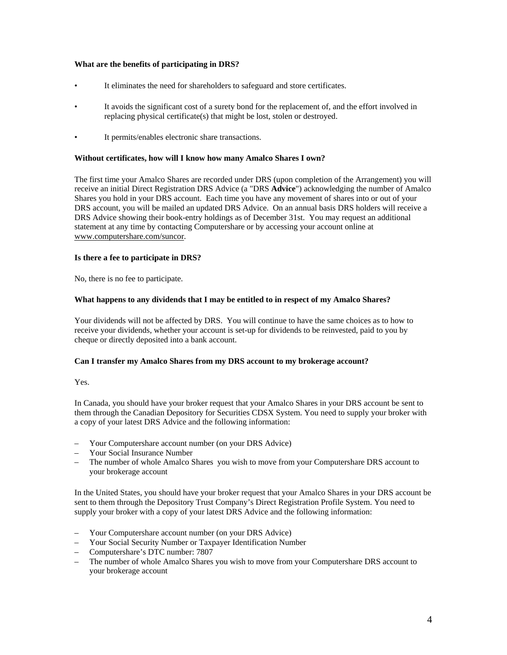# **What are the benefits of participating in DRS?**

- It eliminates the need for shareholders to safeguard and store certificates.
- It avoids the significant cost of a surety bond for the replacement of, and the effort involved in replacing physical certificate(s) that might be lost, stolen or destroyed.
- It permits/enables electronic share transactions.

### **Without certificates, how will I know how many Amalco Shares I own?**

The first time your Amalco Shares are recorded under DRS (upon completion of the Arrangement) you will receive an initial Direct Registration DRS Advice (a "DRS **Advice**") acknowledging the number of Amalco Shares you hold in your DRS account. Each time you have any movement of shares into or out of your DRS account, you will be mailed an updated DRS Advice. On an annual basis DRS holders will receive a DRS Advice showing their book-entry holdings as of December 31st. You may request an additional statement at any time by contacting Computershare or by accessing your account online at <www.computershare.com/suncor>.

### **Is there a fee to participate in DRS?**

No, there is no fee to participate.

### **What happens to any dividends that I may be entitled to in respect of my Amalco Shares?**

 Your dividends will not be affected by DRS. You will continue to have the same choices as to how to receive your dividends, whether your account is set-up for dividends to be reinvested, paid to you by cheque or directly deposited into a bank account.

#### **Can I transfer my Amalco Shares from my DRS account to my brokerage account?**

Yes.

 In Canada, you should have your broker request that your Amalco Shares in your DRS account be sent to them through the Canadian Depository for Securities CDSX System. You need to supply your broker with a copy of your latest DRS Advice and the following information:

- Your Computershare account number (on your DRS Advice)
- Your Social Insurance Number
- The number of whole Amalco Shares you wish to move from your Computershare DRS account to your brokerage account

In the United States, you should have your broker request that your Amalco Shares in your DRS account be sent to them through the Depository Trust Company's Direct Registration Profile System. You need to supply your broker with a copy of your latest DRS Advice and the following information:

- Your Computershare account number (on your DRS Advice)
- Your Social Security Number or Taxpayer Identification Number
- Computershare's DTC number: 7807
- The number of whole Amalco Shares you wish to move from your Computershare DRS account to your brokerage account